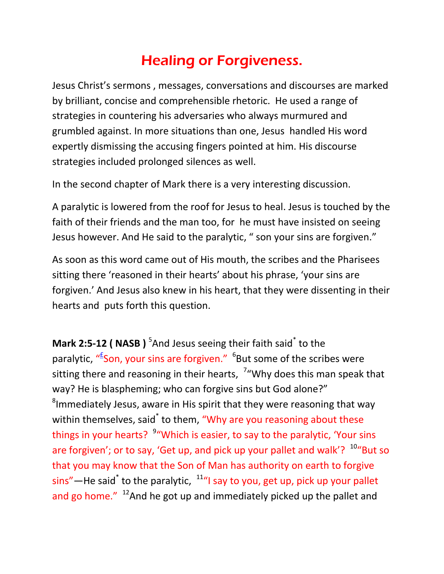## Healing or Forgiveness.

Jesus Christ's sermons , messages, conversations and discourses are marked by brilliant, concise and comprehensible rhetoric. He used a range of strategies in countering his adversaries who always murmured and grumbled against. In more situations than one, Jesus handled His word expertly dismissing the accusing fingers pointed at him. His discourse strategies included prolonged silences as well.

In the second chapter of Mark there is a very interesting discussion.

A paralytic is lowered from the roof for Jesus to heal. Jesus is touched by the faith of their friends and the man too, for he must have insisted on seeing Jesus however. And He said to the paralytic, " son your sins are forgiven."

As soon as this word came out of His mouth, the scribes and the Pharisees sitting there 'reasoned in their hearts' about his phrase, 'your sins are forgiven.' And Jesus also knew in his heart, that they were dissenting in their hearts and puts forth this question.

**Mark 2:5-12 ( NASB )** <sup>5</sup>And Jesus seeing their faith said<sup>\*</sup> to the paralytic, "<sup>E</sup>Son, your sins are forgiven." <sup>6</sup>But some of the scribes were sitting there and reasoning in their hearts,  $\frac{7}{ }$  Why does this man speak that way? He is blaspheming; who can forgive sins but God alone?"  ${}^{8}$ Immediately Jesus, aware in His spirit that they were reasoning that way within themselves, said<sup>\*</sup> to them, "Why are you reasoning about these things in your hearts? <sup>9</sup> "Which is easier, to say to the paralytic, 'Your sins are forgiven'; or to say, 'Get up, and pick up your pallet and walk'?  $10^4$ But so that you may know that the Son of Man has authority on earth to forgive sins"—He said<sup>\*</sup> to the paralytic,  $\frac{11}{n}$  say to you, get up, pick up your pallet and go home."  $12A$ nd he got up and immediately picked up the pallet and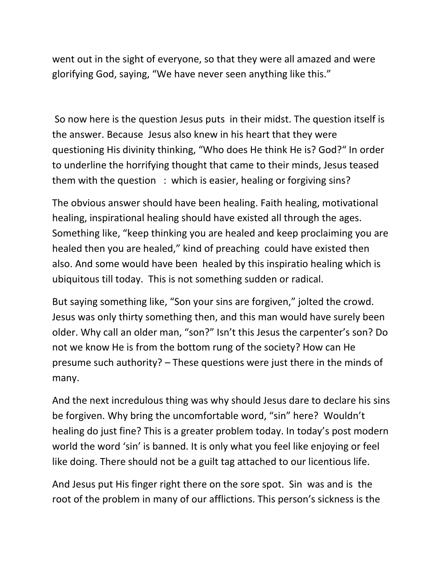went out in the sight of everyone, so that they were all amazed and were glorifying God, saying, "We have never seen anything like this."

So now here is the question Jesus puts in their midst. The question itself is the answer. Because Jesus also knew in his heart that they were questioning His divinity thinking, "Who does He think He is? God?" In order to underline the horrifying thought that came to their minds, Jesus teased them with the question : which is easier, healing or forgiving sins?

The obvious answer should have been healing. Faith healing, motivational healing, inspirational healing should have existed all through the ages. Something like, "keep thinking you are healed and keep proclaiming you are healed then you are healed," kind of preaching could have existed then also. And some would have been healed by this inspiratio healing which is ubiquitous till today. This is not something sudden or radical.

But saying something like, "Son your sins are forgiven," jolted the crowd. Jesus was only thirty something then, and this man would have surely been older. Why call an older man, "son?" Isn't this Jesus the carpenter's son? Do not we know He is from the bottom rung of the society? How can He presume such authority? – These questions were just there in the minds of many.

And the next incredulous thing was why should Jesus dare to declare his sins be forgiven. Why bring the uncomfortable word, "sin" here? Wouldn't healing do just fine? This is a greater problem today. In today's post modern world the word 'sin' is banned. It is only what you feel like enjoying or feel like doing. There should not be a guilt tag attached to our licentious life.

And Jesus put His finger right there on the sore spot. Sin was and is the root of the problem in many of our afflictions. This person's sickness is the